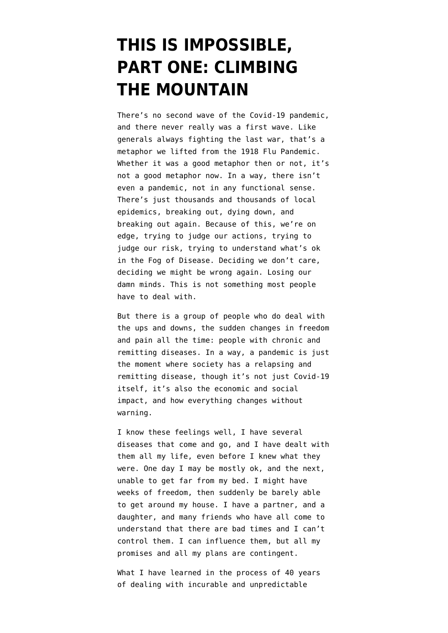## **[THIS IS IMPOSSIBLE,](https://www.emptywheel.net/2020/07/30/this-is-impossible-part-one-climbing-the-mountain/) [PART ONE: CLIMBING](https://www.emptywheel.net/2020/07/30/this-is-impossible-part-one-climbing-the-mountain/) [THE MOUNTAIN](https://www.emptywheel.net/2020/07/30/this-is-impossible-part-one-climbing-the-mountain/)**

There's no second wave of the Covid-19 pandemic, and there never really was a first wave. Like generals always fighting the last war, that's a metaphor we lifted from the 1918 Flu Pandemic. Whether it was a good metaphor then or not, it's not a good metaphor now. In a way, there isn't even a pandemic, not in any functional sense. There's just thousands and thousands of local epidemics, breaking out, dying down, and breaking out again. Because of this, we're on edge, trying to judge our actions, trying to judge our risk, trying to understand what's ok in the Fog of Disease. Deciding we don't care, deciding we might be wrong again. Losing our damn minds. This is not something most people have to deal with.

But there is a group of people who do deal with the ups and downs, the sudden changes in freedom and pain all the time: people with chronic and remitting diseases. In a way, a pandemic is just the moment where society has a relapsing and remitting disease, though it's not just Covid-19 itself, it's also the economic and social impact, and how everything changes without warning.

I know these feelings well, I have several diseases that come and go, and I have dealt with them all my life, even before I knew what they were. One day I may be mostly ok, and the next, unable to get far from my bed. I might have weeks of freedom, then suddenly be barely able to get around my house. I have a partner, and a daughter, and many friends who have all come to understand that there are bad times and I can't control them. I can influence them, but all my promises and all my plans are contingent.

What I have learned in the process of 40 years of dealing with incurable and unpredictable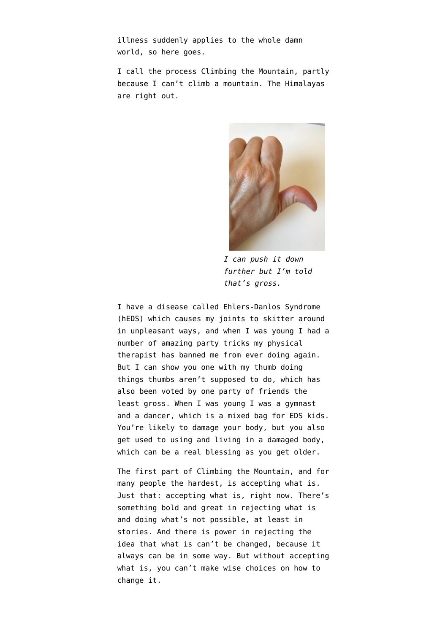illness suddenly applies to the whole damn world, so here goes.

I call the process Climbing the Mountain, partly because I can't climb a mountain. The Himalayas are right out.



*I can push it down further but I'm told that's gross.*

I have a disease called Ehlers-Danlos Syndrome ([hEDS](https://rarediseases.info.nih.gov/diseases/2081/hypermobile-ehlers-danlos-syndrome)) which causes my joints to skitter around in unpleasant ways, and when I was young I had a number of amazing party tricks my physical therapist has banned me from ever doing again. But I can show you one with my thumb doing things thumbs aren't supposed to do, which has also been voted by one party of friends the least gross. When I was young I was a gymnast and a dancer, which is a mixed bag for EDS kids. You're likely to damage your body, but you also get used to using and living in a damaged body, which can be a real blessing as you get older.

The first part of Climbing the Mountain, and for many people the hardest, is accepting what is. Just that: accepting what is, right now. There's something bold and great in rejecting what is and doing what's not possible, at least in stories. And there is power in rejecting the idea that what is can't be changed, because it always can be in some way. But without accepting what is, you can't make wise choices on how to change it.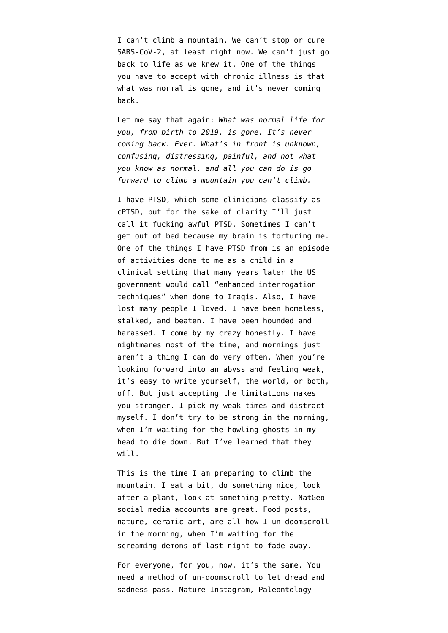I can't climb a mountain. We can't stop or cure SARS-CoV-2, at least right now. We can't just go back to life as we knew it. One of the things you have to accept with chronic illness is that what was normal is gone, and it's never coming back.

Let me say that again: *What was normal life for you, from birth to 2019, is gone. It's never coming back. Ever. What's in front is unknown, confusing, distressing, painful, and not what you know as normal, and all you can do is go forward to climb a mountain you can't climb.*

I have PTSD, which some clinicians classify as cPTSD, but for the sake of clarity I'll just call it fucking awful PTSD. Sometimes I can't get out of bed because my brain is torturing me. One of the things I have PTSD from is an episode of activities done to me as a child in a clinical setting that many years later the US government would call "enhanced interrogation techniques" when done to Iraqis. Also, I have lost many people I loved. I have been homeless, stalked, and beaten. I have been hounded and harassed. I come by my crazy honestly. I have nightmares most of the time, and mornings just aren't a thing I can do very often. When you're looking forward into an abyss and feeling weak, it's easy to write yourself, the world, or both, off. But just accepting the limitations makes you stronger. I pick my weak times and distract myself. I don't try to be strong in the morning, when I'm waiting for the howling ghosts in my head to die down. But I've learned that they will.

This is the time I am preparing to climb the mountain. I eat a bit, do something nice, look after a plant, look at something pretty. [NatGeo](https://twitter.com/NatGeo) social media accounts are great. Food posts, nature, ceramic art, are all how I un-doomscroll in the morning, when I'm waiting for the screaming demons of last night to fade away.

For everyone, for you, now, it's the same. You need a method of un-doomscroll to let dread and sadness pass. Nature Instagram, [Paleontology](https://commondescentpodcast.podbean.com)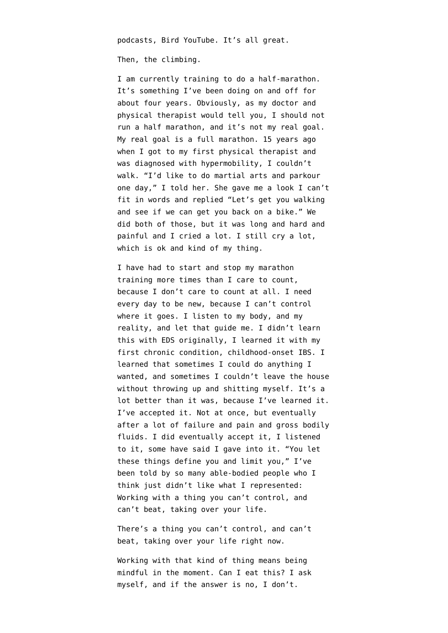[podcasts,](https://commondescentpodcast.podbean.com) [Bird YouTube](https://www.youtube.com/watch?v=2d3dOam9Hg4). It's all great.

Then, the climbing.

I am currently training to do a half-marathon. It's something I've been doing on and off for about four years. Obviously, as my doctor and physical therapist would tell you, I should not run a half marathon, and it's not my real goal. My real goal is a full marathon. 15 years ago when I got to my first physical therapist and was diagnosed with hypermobility, I couldn't walk. "I'd like to do martial arts and parkour one day," I told her. She gave me a look I can't fit in words and replied "Let's get you walking and see if we can get you back on a bike." We did both of those, but it was long and hard and painful and I cried a lot. I still cry a lot, which is ok and kind of my thing.

I have had to start and stop my marathon training more times than I care to count, because I don't care to count at all. I need every day to be new, because I can't control where it goes. I listen to my body, and my reality, and let that guide me. I didn't learn this with EDS originally, I learned it with my first chronic condition, childhood-onset IBS. I learned that sometimes I could do anything I wanted, and sometimes I couldn't leave the house without throwing up and shitting myself. It's a lot better than it was, because I've learned it. I've accepted it. Not at once, but eventually after a lot of failure and pain and gross bodily fluids. I did eventually accept it, I listened to it, some have said I gave into it. "You let these things define you and limit you," I've been told by so many able-bodied people who I think just didn't like what I represented: Working with a thing you can't control, and can't beat, taking over your life.

There's a thing you can't control, and can't beat, taking over your life right now.

Working with that kind of thing means being mindful in the moment. Can I eat this? I ask myself, and if the answer is no, I don't.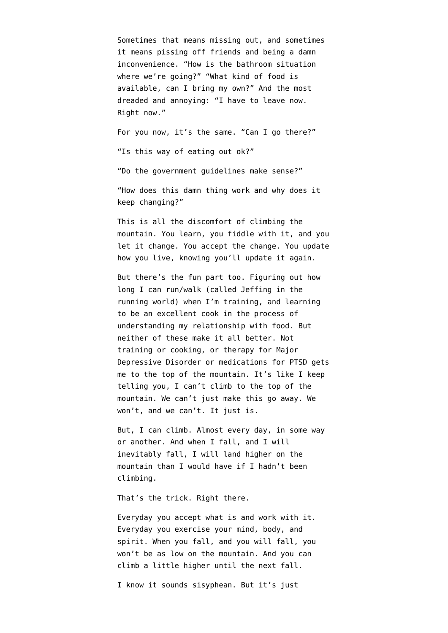Sometimes that means missing out, and sometimes it means pissing off friends and being a damn inconvenience. "How is the bathroom situation where we're going?" "What kind of food is available, can I bring my own?" And the most dreaded and annoying: "I have to leave now. Right now."

For you now, it's the same. "Can I go there?" "Is this way of eating out ok?"

"Do the government guidelines make sense?"

"How does this damn thing work and why does it keep changing?"

This is all the discomfort of climbing the mountain. You learn, you fiddle with it, and you let it change. You accept the change. You update how you live, knowing you'll update it again.

But there's the fun part too. Figuring out how long I can run/walk (called [Jeffing](https://www.youtube.com/watch?v=65_LMjoYFaI) in the running world) when I'm training, and learning to be an excellent cook in the process of understanding my relationship with food. But neither of these make it all better. Not training or cooking, or therapy for Major Depressive Disorder or medications for PTSD gets me to the top of the mountain. It's like I keep telling you, I can't climb to the top of the mountain. We can't just make this go away. We won't, and we can't. It just is.

But, I can climb. Almost every day, in some way or another. And when I fall, and I will inevitably fall, I will land higher on the mountain than I would have if I hadn't been climbing.

That's the trick. Right there.

Everyday you accept what is and work with it. Everyday you exercise your mind, body, and spirit. When you fall, and you will fall, you won't be as low on the mountain. And you can climb a little higher until the next fall.

I know it sounds sisyphean. But it's just